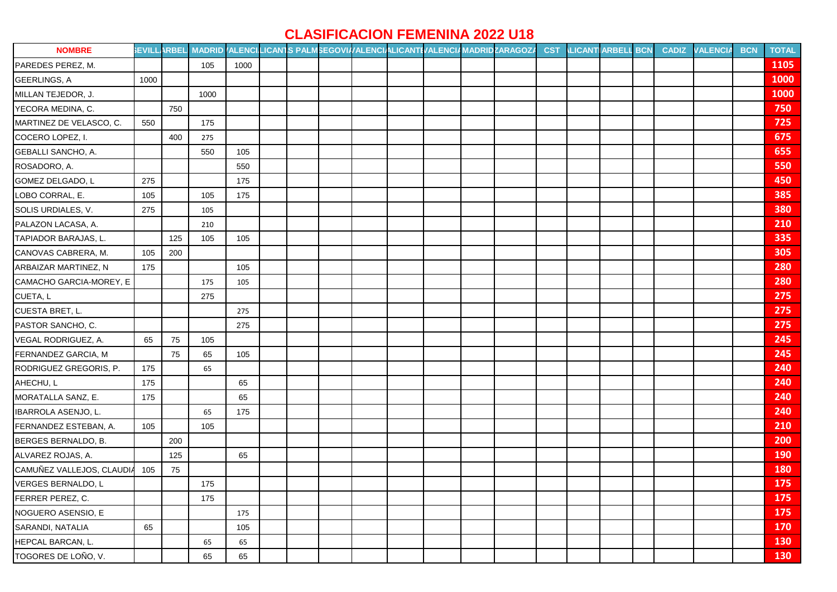## **CLASIFICACION FEMENINA 2022 U18**

| <b>NOMBRE</b>                 |      |     |      |      |  |  |  | EVILLARBEL MADRID (ALENCILICANTS PALMSEGOVI//ALENCIALICANTI/ALENCI/MADRIDZARAGOZ/ | <b>CST</b> | <b>ILICANTIARBELL BCN</b> | <b>CADIZ</b> | <b>VALENCIA</b> | <b>BCN</b> | <b>TOTAL</b> |
|-------------------------------|------|-----|------|------|--|--|--|-----------------------------------------------------------------------------------|------------|---------------------------|--------------|-----------------|------------|--------------|
| PAREDES PEREZ, M.             |      |     | 105  | 1000 |  |  |  |                                                                                   |            |                           |              |                 |            | 1105         |
| GEERLINGS, A                  | 1000 |     |      |      |  |  |  |                                                                                   |            |                           |              |                 |            | 1000         |
| MILLAN TEJEDOR, J.            |      |     | 1000 |      |  |  |  |                                                                                   |            |                           |              |                 |            | 1000         |
| YECORA MEDINA, C.             |      | 750 |      |      |  |  |  |                                                                                   |            |                           |              |                 |            | 750          |
| MARTINEZ DE VELASCO, C.       | 550  |     | 175  |      |  |  |  |                                                                                   |            |                           |              |                 |            | 725          |
| COCERO LOPEZ, I.              |      | 400 | 275  |      |  |  |  |                                                                                   |            |                           |              |                 |            | 675          |
| GEBALLI SANCHO, A.            |      |     | 550  | 105  |  |  |  |                                                                                   |            |                           |              |                 |            | 655          |
| ROSADORO, A.                  |      |     |      | 550  |  |  |  |                                                                                   |            |                           |              |                 |            | 550          |
| GOMEZ DELGADO, L              | 275  |     |      | 175  |  |  |  |                                                                                   |            |                           |              |                 |            | 450          |
| LOBO CORRAL, E.               | 105  |     | 105  | 175  |  |  |  |                                                                                   |            |                           |              |                 |            | 385          |
| SOLIS URDIALES, V.            | 275  |     | 105  |      |  |  |  |                                                                                   |            |                           |              |                 |            | 380          |
| PALAZON LACASA, A.            |      |     | 210  |      |  |  |  |                                                                                   |            |                           |              |                 |            | 210          |
| TAPIADOR BARAJAS, L.          |      | 125 | 105  | 105  |  |  |  |                                                                                   |            |                           |              |                 |            | 335          |
| CANOVAS CABRERA, M.           | 105  | 200 |      |      |  |  |  |                                                                                   |            |                           |              |                 |            | 305          |
| ARBAIZAR MARTINEZ, N          | 175  |     |      | 105  |  |  |  |                                                                                   |            |                           |              |                 |            | 280          |
| CAMACHO GARCIA-MOREY, E       |      |     | 175  | 105  |  |  |  |                                                                                   |            |                           |              |                 |            | 280          |
| CUETA, L                      |      |     | 275  |      |  |  |  |                                                                                   |            |                           |              |                 |            | 275          |
| CUESTA BRET, L.               |      |     |      | 275  |  |  |  |                                                                                   |            |                           |              |                 |            | 275          |
| PASTOR SANCHO, C.             |      |     |      | 275  |  |  |  |                                                                                   |            |                           |              |                 |            | 275          |
| VEGAL RODRIGUEZ, A.           | 65   | 75  | 105  |      |  |  |  |                                                                                   |            |                           |              |                 |            | 245          |
| FERNANDEZ GARCIA, M           |      | 75  | 65   | 105  |  |  |  |                                                                                   |            |                           |              |                 |            | 245          |
| RODRIGUEZ GREGORIS, P.        | 175  |     | 65   |      |  |  |  |                                                                                   |            |                           |              |                 |            | 240          |
| AHECHU, L                     | 175  |     |      | 65   |  |  |  |                                                                                   |            |                           |              |                 |            | 240          |
| MORATALLA SANZ, E.            | 175  |     |      | 65   |  |  |  |                                                                                   |            |                           |              |                 |            | 240          |
| IBARROLA ASENJO, L.           |      |     | 65   | 175  |  |  |  |                                                                                   |            |                           |              |                 |            | 240          |
| FERNANDEZ ESTEBAN, A.         | 105  |     | 105  |      |  |  |  |                                                                                   |            |                           |              |                 |            | 210          |
| BERGES BERNALDO, B.           |      | 200 |      |      |  |  |  |                                                                                   |            |                           |              |                 |            | 200          |
| ALVAREZ ROJAS, A.             |      | 125 |      | 65   |  |  |  |                                                                                   |            |                           |              |                 |            | 190          |
| CAMUÑEZ VALLEJOS, CLAUDIA 105 |      | 75  |      |      |  |  |  |                                                                                   |            |                           |              |                 |            | <b>180</b>   |
| <b>VERGES BERNALDO, L</b>     |      |     | 175  |      |  |  |  |                                                                                   |            |                           |              |                 |            | 175          |
| FERRER PEREZ, C.              |      |     | 175  |      |  |  |  |                                                                                   |            |                           |              |                 |            | 175          |
| NOGUERO ASENSIO, E            |      |     |      | 175  |  |  |  |                                                                                   |            |                           |              |                 |            | 175          |
| SARANDI, NATALIA              | 65   |     |      | 105  |  |  |  |                                                                                   |            |                           |              |                 |            | <b>170</b>   |
| HEPCAL BARCAN, L.             |      |     | 65   | 65   |  |  |  |                                                                                   |            |                           |              |                 |            | 130          |
| TOGORES DE LOÑO, V.           |      |     | 65   | 65   |  |  |  |                                                                                   |            |                           |              |                 |            | <b>130</b>   |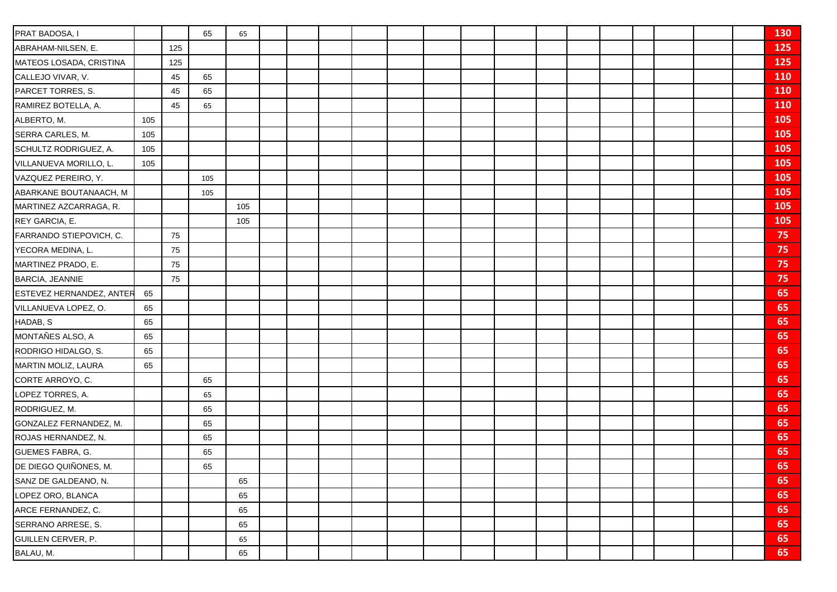| PRAT BADOSA, I           |     |     | 65  | 65  |  |  |  |  |  |  |  | 130        |
|--------------------------|-----|-----|-----|-----|--|--|--|--|--|--|--|------------|
| ABRAHAM-NILSEN, E.       |     | 125 |     |     |  |  |  |  |  |  |  | 125        |
| MATEOS LOSADA, CRISTINA  |     | 125 |     |     |  |  |  |  |  |  |  | 125        |
| CALLEJO VIVAR, V.        |     | 45  | 65  |     |  |  |  |  |  |  |  | 110        |
| PARCET TORRES, S.        |     | 45  | 65  |     |  |  |  |  |  |  |  | 110        |
| RAMIREZ BOTELLA, A.      |     | 45  | 65  |     |  |  |  |  |  |  |  | <b>110</b> |
| ALBERTO, M.              | 105 |     |     |     |  |  |  |  |  |  |  | 105        |
| SERRA CARLES, M.         | 105 |     |     |     |  |  |  |  |  |  |  | 105        |
| SCHULTZ RODRIGUEZ, A.    | 105 |     |     |     |  |  |  |  |  |  |  | 105        |
| VILLANUEVA MORILLO, L.   | 105 |     |     |     |  |  |  |  |  |  |  | 105        |
| VAZQUEZ PEREIRO, Y.      |     |     | 105 |     |  |  |  |  |  |  |  | 105        |
| ABARKANE BOUTANAACH, M   |     |     | 105 |     |  |  |  |  |  |  |  | 105        |
| MARTINEZ AZCARRAGA, R.   |     |     |     | 105 |  |  |  |  |  |  |  | 105        |
| REY GARCIA, E.           |     |     |     | 105 |  |  |  |  |  |  |  | 105        |
| FARRANDO STIEPOVICH, C.  |     | 75  |     |     |  |  |  |  |  |  |  | 75         |
| YECORA MEDINA, L.        |     | 75  |     |     |  |  |  |  |  |  |  | 75         |
| MARTINEZ PRADO, E.       |     | 75  |     |     |  |  |  |  |  |  |  | 75         |
| <b>BARCIA, JEANNIE</b>   |     | 75  |     |     |  |  |  |  |  |  |  | 75         |
| ESTEVEZ HERNANDEZ, ANTER | 65  |     |     |     |  |  |  |  |  |  |  | 65         |
| VILLANUEVA LOPEZ, O.     | 65  |     |     |     |  |  |  |  |  |  |  | 65         |
| HADAB, S                 | 65  |     |     |     |  |  |  |  |  |  |  | 65         |
| MONTAÑES ALSO, A         | 65  |     |     |     |  |  |  |  |  |  |  | 65         |
| RODRIGO HIDALGO, S.      | 65  |     |     |     |  |  |  |  |  |  |  | 65         |
| MARTIN MOLIZ, LAURA      | 65  |     |     |     |  |  |  |  |  |  |  | 65         |
| CORTE ARROYO, C.         |     |     | 65  |     |  |  |  |  |  |  |  | 65         |
| LOPEZ TORRES, A.         |     |     | 65  |     |  |  |  |  |  |  |  | 65         |
| RODRIGUEZ, M.            |     |     | 65  |     |  |  |  |  |  |  |  | 65         |
| GONZALEZ FERNANDEZ, M.   |     |     | 65  |     |  |  |  |  |  |  |  | 65         |
| ROJAS HERNANDEZ, N.      |     |     | 65  |     |  |  |  |  |  |  |  | 65         |
| GUEMES FABRA, G.         |     |     | 65  |     |  |  |  |  |  |  |  | 65         |
| DE DIEGO QUIÑONES, M.    |     |     | 65  |     |  |  |  |  |  |  |  | 65         |
| SANZ DE GALDEANO, N.     |     |     |     | 65  |  |  |  |  |  |  |  | 65         |
| LOPEZ ORO, BLANCA        |     |     |     | 65  |  |  |  |  |  |  |  | 65         |
| ARCE FERNANDEZ, C.       |     |     |     | 65  |  |  |  |  |  |  |  | 65         |
| SERRANO ARRESE, S.       |     |     |     | 65  |  |  |  |  |  |  |  | 65         |
| GUILLEN CERVER, P.       |     |     |     | 65  |  |  |  |  |  |  |  | 65         |
| BALAU, M.                |     |     |     | 65  |  |  |  |  |  |  |  | 65         |